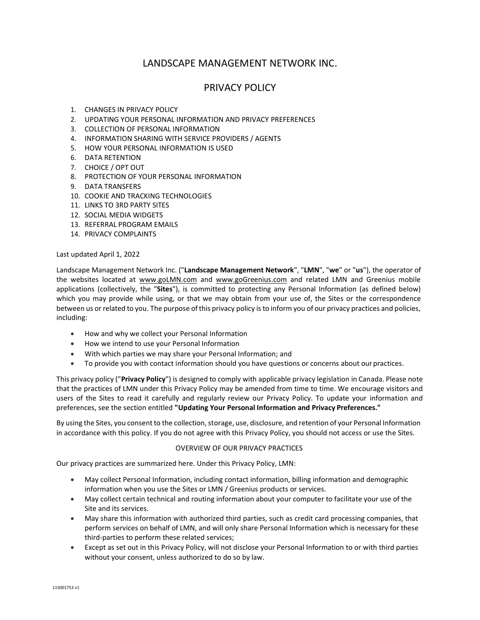# LANDSCAPE MANAGEMENT NETWORK INC.

# PRIVACY POLICY

- 1. CHANGES IN PRIVACY POLICY
- 2. UPDATING YOUR PERSONAL INFORMATION AND PRIVACY PREFERENCES
- 3. COLLECTION OF PERSONAL INFORMATION
- 4. INFORMATION SHARING WITH SERVICE PROVIDERS / AGENTS
- 5. HOW YOUR PERSONAL INFORMATION IS USED
- 6. DATA RETENTION
- 7. CHOICE / OPT OUT
- 8. PROTECTION OF YOUR PERSONAL INFORMATION
- 9. DATA TRANSFERS
- 10. COOKIE AND TRACKING TECHNOLOGIES
- 11. LINKS TO 3RD PARTY SITES
- 12. SOCIAL MEDIA WIDGETS
- 13. REFERRAL PROGRAM EMAILS
- 14. PRIVACY COMPLAINTS

#### Last updated April 1, 2022

Landscape Management Network Inc. ("**Landscape Management Network**", "**LMN**", "**we**" or "**us**"), the operator of the websites located at [www.goLMN.com](http://www.golmn.com/) and [www.goGreenius.com](http://www.gogreenius.com/) and related LMN and Greenius mobile applications (collectively, the "**Sites**"), is committed to protecting any Personal Information (as defined below) which you may provide while using, or that we may obtain from your use of, the Sites or the correspondence between us or related to you. The purpose of this privacy policy is to inform you of our privacy practices and policies, including:

- How and why we collect your Personal Information
- How we intend to use your Personal Information
- With which parties we may share your Personal Information; and
- To provide you with contact information should you have questions or concerns about our practices.

This privacy policy ("**Privacy Policy**") is designed to comply with applicable privacy legislation in Canada. Please note that the practices of LMN under this Privacy Policy may be amended from time to time. We encourage visitors and users of the Sites to read it carefully and regularly review our Privacy Policy. To update your information and preferences, see the section entitled **["Updating Your Personal Information and Privacy](https://www.shutterstock.com/privacy#anchor_updating_personal_information) Preferences."**

By using the Sites, you consent to the collection, storage, use, disclosure, and retention of your Personal Information in accordance with this policy. If you do not agree with this Privacy Policy, you should not access or use the Sites.

## OVERVIEW OF OUR PRIVACY PRACTICES

Our privacy practices are summarized here. Under this Privacy Policy, LMN:

- May collect Personal Information, including contact information, billing information and demographic information when you use the Sites or LMN / Greenius products or services.
- May collect certain technical and routing information about your computer to facilitate your use of the Site and its services.
- May share this information with authorized third parties, such as credit card processing companies, that perform services on behalf of LMN, and will only share Personal Information which is necessary for these third-parties to perform these related services;
- Except as set out in this Privacy Policy, will not disclose your Personal Information to or with third parties without your consent, unless authorized to do so by law.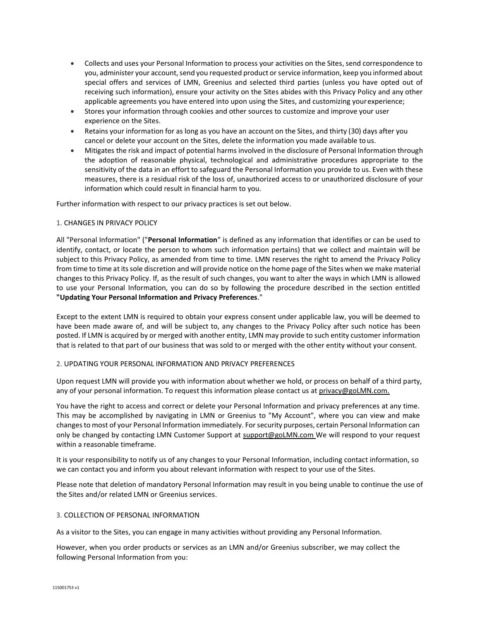- Collects and uses your Personal Information to process your activities on the Sites, send correspondence to you, administer your account, send you requested product or service information, keep you informed about special offers and services of LMN, Greenius and selected third parties (unless you have opted out of receiving such information), ensure your activity on the Sites abides with this Privacy Policy and any other applicable agreements you have entered into upon using the Sites, and customizing yourexperience;
- Stores your information through cookies and other sources to customize and improve your user experience on the Sites.
- Retains your information for as long as you have an account on the Sites, and thirty (30) days after you cancel or delete your account on the Sites, delete the information you made available to us.
- Mitigates the risk and impact of potential harms involved in the disclosure of Personal Information through the adoption of reasonable physical, technological and administrative procedures appropriate to the sensitivity of the data in an effort to safeguard the Personal Information you provide to us. Even with these measures, there is a residual risk of the loss of, unauthorized access to or unauthorized disclosure of your information which could result in financial harm to you.

Further information with respect to our privacy practices is set out below.

## 1. CHANGES IN PRIVACY POLICY

All "Personal Information" ("**Personal Information**" is defined as any information that identifies or can be used to identify, contact, or locate the person to whom such information pertains) that we collect and maintain will be subject to this Privacy Policy, as amended from time to time. LMN reserves the right to amend the Privacy Policy from time to time at its sole discretion and will provide notice on the home page of the Sites when we make material changes to this Privacy Policy. If, as the result of such changes, you want to alter the ways in which LMN is allowed to use your Personal Information, you can do so by following the procedure described in the section entitled **["Updating Your Personal Information and Privacy Preferences](https://www.shutterstock.com/privacy#anchor_updating_personal_information)**."

Except to the extent LMN is required to obtain your express consent under applicable law, you will be deemed to have been made aware of, and will be subject to, any changes to the Privacy Policy after such notice has been posted. If LMN is acquired by or merged with another entity, LMN may provide to such entity customer information that is related to that part of our business that was sold to or merged with the other entity without your consent.

## 2. UPDATING YOUR PERSONAL INFORMATION AND PRIVACY PREFERENCES

Upon request LMN will provide you with information about whether we hold, or process on behalf of a third party, any of your personal information. To request this information please contact us at [privacy@goLMN.com.](mailto:privacy@goLMN.com.)

You have the right to access and correct or delete your Personal Information and privacy preferences at any time. This may be accomplished by navigating in LMN or Greenius to "My Account", where you can view and make changes to most of your Personal Information immediately. For security purposes, certain Personal Information can only be changed by contacting LMN Customer Support at [support@goLMN.com W](mailto:support@goLMN.com)e will respond to your request within a reasonable timeframe.

It is your responsibility to notify us of any changes to your Personal Information, including contact information, so we can contact you and inform you about relevant information with respect to your use of the Sites.

Please note that deletion of mandatory Personal Information may result in you being unable to continue the use of the Sites and/or related LMN or Greenius services.

## 3. COLLECTION OF PERSONAL INFORMATION

As a visitor to the Sites, you can engage in many activities without providing any Personal Information.

However, when you order products or services as an LMN and/or Greenius subscriber, we may collect the following Personal Information from you: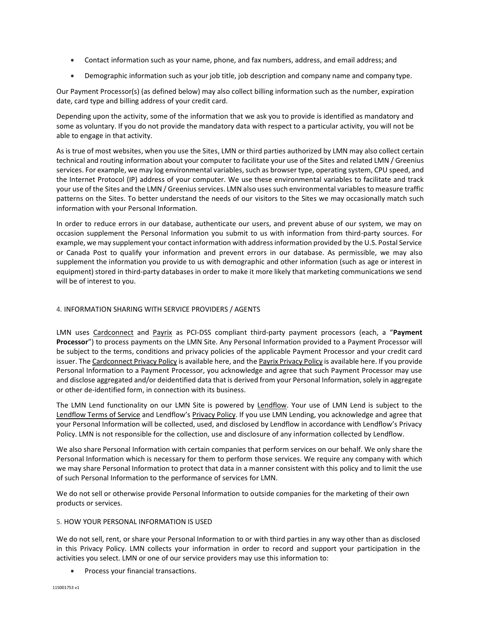- Contact information such as your name, phone, and fax numbers, address, and email address; and
- Demographic information such as your job title, job description and company name and company type.

Our Payment Processor(s) (as defined below) may also collect billing information such as the number, expiration date, card type and billing address of your credit card.

Depending upon the activity, some of the information that we ask you to provide is identified as mandatory and some as voluntary. If you do not provide the mandatory data with respect to a particular activity, you will not be able to engage in that activity.

As is true of most websites, when you use the Sites, LMN or third parties authorized by LMN may also collect certain technical and routing information about your computer to facilitate your use of the Sites and related LMN / Greenius services. For example, we may log environmental variables, such as browser type, operating system, CPU speed, and the Internet Protocol (IP) address of your computer. We use these environmental variables to facilitate and track your use of the Sites and the LMN / Greenius services. LMN also uses such environmental variables to measure traffic patterns on the Sites. To better understand the needs of our visitors to the Sites we may occasionally match such information with your Personal Information.

In order to reduce errors in our database, authenticate our users, and prevent abuse of our system, we may on occasion supplement the Personal Information you submit to us with information from third-party sources. For example, we may supplement your contact information with address information provided by the U.S. Postal Service or Canada Post to qualify your information and prevent errors in our database. As permissible, we may also supplement the information you provide to us with demographic and other information (such as age or interest in equipment) stored in third-party databases in order to make it more likely that marketing communications we send will be of interest to you.

## 4. INFORMATION SHARING WITH SERVICE PROVIDERS / AGENTS

LMN uses [Cardconnect](https://cardconnect.com/) and [Payrix](https://www.payrix.com/) as PCI-DSS compliant third-party payment processors (each, a "**Payment Processor**") to process payments on the LMN Site. Any Personal Information provided to a Payment Processor will be subject to the terms, conditions and privacy policies of the applicable Payment Processor and your credit card issuer. Th[e Cardconnect Privacy Policy](https://cardconnect.com/privacy-policy) is available here, and th[e Payrix Privacy Policy](https://portal.payrix.com/privacy) is available here. If you provide Personal Information to a Payment Processor, you acknowledge and agree that such Payment Processor may use and disclose aggregated and/or deidentified data that is derived from your Personal Information, solely in aggregate or other de-identified form, in connection with its business.

The LMN Lend functionality on our LMN Site is powered by [Lendflow.](https://lendflow.io/) Your use of LMN Lend is subject to the [Lendflow Terms of Service](https://docs.google.com/document/u/1/d/e/2PACX-1vRM57l8G7IwCsFSD-E4Cp_AIv_BNPbWPqyxJ6rWHlA5Zhy50A4W0dambrC-zxzEsNOzzcoZUHZcPuDm/pub) and Lendflow's [Privacy Policy.](https://docs.google.com/document/u/1/d/e/2PACX-1vTYHkkRmGmwBlIh-_9VfmCLHSMDNmIYJOfqDQ8o_5zgofB4Y6on7MM6XfftmLDC2g/pub) If you use LMN Lending, you acknowledge and agree that your Personal Information will be collected, used, and disclosed by Lendflow in accordance with Lendflow's Privacy Policy. LMN is not responsible for the collection, use and disclosure of any information collected by Lendflow.

We also share Personal Information with certain companies that perform services on our behalf. We only share the Personal Information which is necessary for them to perform those services. We require any company with which we may share Personal Information to protect that data in a manner consistent with this policy and to limit the use of such Personal Information to the performance of services for LMN.

We do not sell or otherwise provide Personal Information to outside companies for the marketing of their own products or services.

## 5. HOW YOUR PERSONAL INFORMATION IS USED

We do not sell, rent, or share your Personal Information to or with third parties in any way other than as disclosed in this Privacy Policy. LMN collects your information in order to record and support your participation in the activities you select. LMN or one of our service providers may use this information to:

• Process your financial transactions.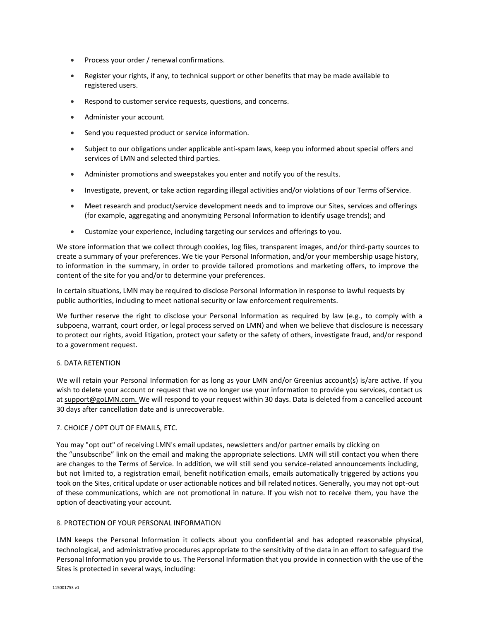- Process your order / renewal confirmations.
- Register your rights, if any, to technical support or other benefits that may be made available to registered users.
- Respond to customer service requests, questions, and concerns.
- Administer your account.
- Send you requested product or service information.
- Subject to our obligations under applicable anti-spam laws, keep you informed about special offers and services of LMN and selected third parties.
- Administer promotions and sweepstakes you enter and notify you of the results.
- Investigate, prevent, or take action regarding illegal activities and/or violations of our Terms ofService.
- Meet research and product/service development needs and to improve our Sites, services and offerings (for example, aggregating and anonymizing Personal Information to identify usage trends); and
- Customize your experience, including targeting our services and offerings to you.

We store information that we collect through cookies, log files, transparent images, and/or third-party sources to create a summary of your preferences. We tie your Personal Information, and/or your membership usage history, to information in the summary, in order to provide tailored promotions and marketing offers, to improve the content of the site for you and/or to determine your preferences.

In certain situations, LMN may be required to disclose Personal Information in response to lawful requests by public authorities, including to meet national security or law enforcement requirements.

We further reserve the right to disclose your Personal Information as required by law (e.g., to comply with a subpoena, warrant, court order, or legal process served on LMN) and when we believe that disclosure is necessary to protect our rights, avoid litigation, protect your safety or the safety of others, investigate fraud, and/or respond to a government request.

## 6. DATA RETENTION

We will retain your Personal Information for as long as your LMN and/or Greenius account(s) is/are active. If you wish to delete your account or request that we no longer use your information to provide you services, contact us a[t support@goLMN.com. W](mailto:support@goLMN.com.)e will respond to your request within 30 days. Data is deleted from a cancelled account 30 days after cancellation date and is unrecoverable.

## 7. CHOICE / OPT OUT OF EMAILS, ETC.

You may "opt out" of receiving LMN's email updates, newsletters and/or partner emails by clicking on the "unsubscribe" link on the email and making the appropriate selections. LMN will still contact you when there are changes to the Terms of Service. In addition, we will still send you service-related announcements including, but not limited to, a registration email, benefit notification emails, emails automatically triggered by actions you took on the Sites, critical update or user actionable notices and bill related notices. Generally, you may not opt-out of these communications, which are not promotional in nature. If you wish not to receive them, you have the option of deactivating your account.

## 8. PROTECTION OF YOUR PERSONAL INFORMATION

LMN keeps the Personal Information it collects about you confidential and has adopted reasonable physical, technological, and administrative procedures appropriate to the sensitivity of the data in an effort to safeguard the Personal Information you provide to us. The Personal Information that you provide in connection with the use of the Sites is protected in several ways, including: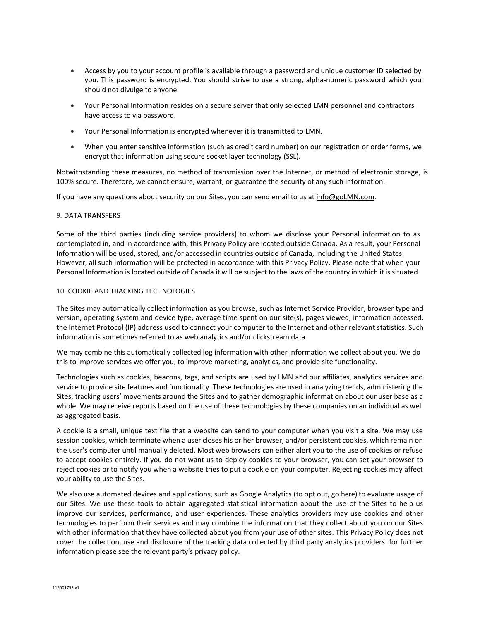- Access by you to your account profile is available through a password and unique customer ID selected by you. This password is encrypted. You should strive to use a strong, alpha-numeric password which you should not divulge to anyone.
- Your Personal Information resides on a secure server that only selected LMN personnel and contractors have access to via password.
- Your Personal Information is encrypted whenever it is transmitted to LMN.
- When you enter sensitive information (such as credit card number) on our registration or order forms, we encrypt that information using secure socket layer technology (SSL).

Notwithstanding these measures, no method of transmission over the Internet, or method of electronic storage, is 100% secure. Therefore, we cannot ensure, warrant, or guarantee the security of any such information.

If you have any questions about security on our Sites, you can send email to us a[t info@goLMN.com.](mailto:info@goLMN.com)

## 9. DATA TRANSFERS

Some of the third parties (including service providers) to whom we disclose your Personal information to as contemplated in, and in accordance with, this Privacy Policy are located outside Canada. As a result, your Personal Information will be used, stored, and/or accessed in countries outside of Canada, including the United States. However, all such information will be protected in accordance with this Privacy Policy. Please note that when your Personal Information is located outside of Canada it will be subject to the laws of the country in which it is situated.

## 10. COOKIE AND TRACKING TECHNOLOGIES

The Sites may automatically collect information as you browse, such as Internet Service Provider, browser type and version, operating system and device type, average time spent on our site(s), pages viewed, information accessed, the Internet Protocol (IP) address used to connect your computer to the Internet and other relevant statistics. Such information is sometimes referred to as web analytics and/or clickstream data.

We may combine this automatically collected log information with other information we collect about you. We do this to improve services we offer you, to improve marketing, analytics, and provide site functionality.

Technologies such as cookies, beacons, tags, and scripts are used by LMN and our affiliates, analytics services and service to provide site features and functionality. These technologies are used in analyzing trends, administering the Sites, tracking users' movements around the Sites and to gather demographic information about our user base as a whole. We may receive reports based on the use of these technologies by these companies on an individual as well as aggregated basis.

A cookie is a small, unique text file that a website can send to your computer when you visit a site. We may use session cookies, which terminate when a user closes his or her browser, and/or persistent cookies, which remain on the user's computer until manually deleted. Most web browsers can either alert you to the use of cookies or refuse to accept cookies entirely. If you do not want us to deploy cookies to your browser, you can set your browser to reject cookies or to notify you when a website tries to put a cookie on your computer. Rejecting cookies may affect your ability to use the Sites.

We also use automated devices and applications, such a[s Google Analytics](https://support.google.com/analytics/answer/6004245) (to opt out, go [here\)](https://tools.google.com/dlpage/gaoptout) to evaluate usage of our Sites. We use these tools to obtain aggregated statistical information about the use of the Sites to help us improve our services, performance, and user experiences. These analytics providers may use cookies and other technologies to perform their services and may combine the information that they collect about you on our Sites with other information that they have collected about you from your use of other sites. This Privacy Policy does not cover the collection, use and disclosure of the tracking data collected by third party analytics providers: for further information please see the relevant party's privacy policy.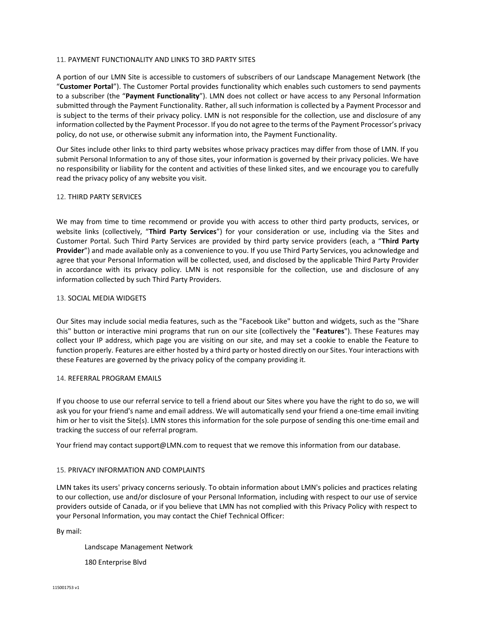## 11. PAYMENT FUNCTIONALITY AND LINKS TO 3RD PARTY SITES

A portion of our LMN Site is accessible to customers of subscribers of our Landscape Management Network (the "**Customer Portal**"). The Customer Portal provides functionality which enables such customers to send payments to a subscriber (the "**Payment Functionality**"). LMN does not collect or have access to any Personal Information submitted through the Payment Functionality. Rather, all such information is collected by a Payment Processor and is subject to the terms of their privacy policy. LMN is not responsible for the collection, use and disclosure of any information collected by the Payment Processor. If you do not agree to the terms of the Payment Processor's privacy policy, do not use, or otherwise submit any information into, the Payment Functionality.

Our Sites include other links to third party websites whose privacy practices may differ from those of LMN. If you submit Personal Information to any of those sites, your information is governed by their privacy policies. We have no responsibility or liability for the content and activities of these linked sites, and we encourage you to carefully read the privacy policy of any website you visit.

#### 12. THIRD PARTY SERVICES

We may from time to time recommend or provide you with access to other third party products, services, or website links (collectively, "**Third Party Services**") for your consideration or use, including via the Sites and Customer Portal. Such Third Party Services are provided by third party service providers (each, a "**Third Party Provider**") and made available only as a convenience to you. If you use Third Party Services, you acknowledge and agree that your Personal Information will be collected, used, and disclosed by the applicable Third Party Provider in accordance with its privacy policy. LMN is not responsible for the collection, use and disclosure of any information collected by such Third Party Providers.

## 13. SOCIAL MEDIA WIDGETS

Our Sites may include social media features, such as the "Facebook Like" button and widgets, such as the "Share this" button or interactive mini programs that run on our site (collectively the "**Features**"). These Features may collect your IP address, which page you are visiting on our site, and may set a cookie to enable the Feature to function properly. Features are either hosted by a third party or hosted directly on our Sites. Your interactions with these Features are governed by the privacy policy of the company providing it.

#### 14. REFERRAL PROGRAM EMAILS

If you choose to use our referral service to tell a friend about our Sites where you have the right to do so, we will ask you for your friend's name and email address. We will automatically send your friend a one-time email inviting him or her to visit the Site(s). LMN stores this information for the sole purpose of sending this one-time email and tracking the success of our referral program.

Your friend may contact [support@LMN.com t](mailto:support@LMN.com)o request that we remove this information from our database.

## 15. PRIVACY INFORMATION AND COMPLAINTS

LMN takes its users' privacy concerns seriously. To obtain information about LMN's policies and practices relating to our collection, use and/or disclosure of your Personal Information, including with respect to our use of service providers outside of Canada, or if you believe that LMN has not complied with this Privacy Policy with respect to your Personal Information, you may contact the Chief Technical Officer:

By mail:

Landscape Management Network

180 Enterprise Blvd